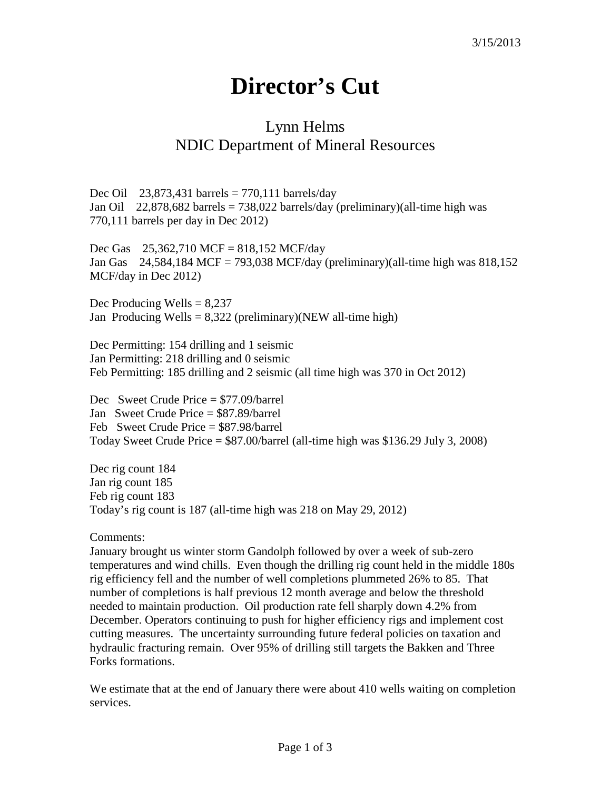## **Director's Cut**

## Lynn Helms NDIC Department of Mineral Resources

Dec Oil 23,873,431 barrels =  $770,111$  barrels/day Jan Oil 22,878,682 barrels = 738,022 barrels/day (preliminary)(all-time high was 770,111 barrels per day in Dec 2012)

Dec Gas 25,362,710 MCF = 818,152 MCF/day Jan Gas 24,584,184 MCF = 793,038 MCF/day (preliminary)(all-time high was 818,152 MCF/day in Dec 2012)

Dec Producing Wells  $= 8,237$ Jan Producing Wells =  $8,322$  (preliminary)(NEW all-time high)

Dec Permitting: 154 drilling and 1 seismic Jan Permitting: 218 drilling and 0 seismic Feb Permitting: 185 drilling and 2 seismic (all time high was 370 in Oct 2012)

Dec Sweet Crude Price = \$77.09/barrel Jan Sweet Crude Price = \$87.89/barrel Feb Sweet Crude Price = \$87.98/barrel Today Sweet Crude Price  $= $87.00/b$ arrel (all-time high was  $$136.29$  July 3, 2008)

Dec rig count 184 Jan rig count 185 Feb rig count 183 Today's rig count is 187 (all-time high was 218 on May 29, 2012)

Comments:

January brought us winter storm Gandolph followed by over a week of sub-zero temperatures and wind chills. Even though the drilling rig count held in the middle 180s rig efficiency fell and the number of well completions plummeted 26% to 85. That number of completions is half previous 12 month average and below the threshold needed to maintain production. Oil production rate fell sharply down 4.2% from December. Operators continuing to push for higher efficiency rigs and implement cost cutting measures. The uncertainty surrounding future federal policies on taxation and hydraulic fracturing remain. Over 95% of drilling still targets the Bakken and Three Forks formations.

We estimate that at the end of January there were about 410 wells waiting on completion services.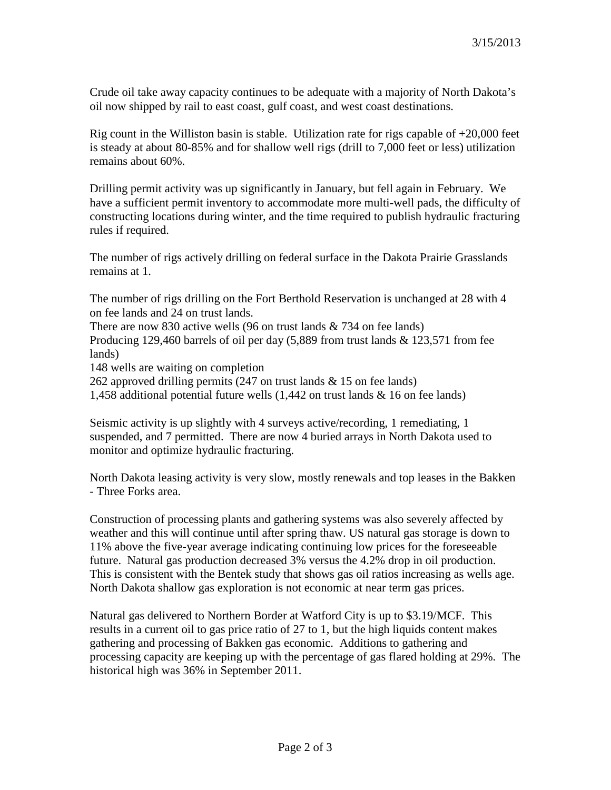Crude oil take away capacity continues to be adequate with a majority of North Dakota's oil now shipped by rail to east coast, gulf coast, and west coast destinations.

Rig count in the Williston basin is stable. Utilization rate for rigs capable of  $+20,000$  feet is steady at about 80-85% and for shallow well rigs (drill to 7,000 feet or less) utilization remains about 60%.

Drilling permit activity was up significantly in January, but fell again in February. We have a sufficient permit inventory to accommodate more multi-well pads, the difficulty of constructing locations during winter, and the time required to publish hydraulic fracturing rules if required.

The number of rigs actively drilling on federal surface in the Dakota Prairie Grasslands remains at 1.

The number of rigs drilling on the Fort Berthold Reservation is unchanged at 28 with 4 on fee lands and 24 on trust lands.

There are now 830 active wells (96 on trust lands & 734 on fee lands) Producing 129,460 barrels of oil per day (5,889 from trust lands & 123,571 from fee lands)

148 wells are waiting on completion

262 approved drilling permits (247 on trust lands & 15 on fee lands)

1,458 additional potential future wells (1,442 on trust lands & 16 on fee lands)

Seismic activity is up slightly with 4 surveys active/recording, 1 remediating, 1 suspended, and 7 permitted. There are now 4 buried arrays in North Dakota used to monitor and optimize hydraulic fracturing.

North Dakota leasing activity is very slow, mostly renewals and top leases in the Bakken - Three Forks area.

Construction of processing plants and gathering systems was also severely affected by weather and this will continue until after spring thaw. US natural gas storage is down to 11% above the five-year average indicating continuing low prices for the foreseeable future. Natural gas production decreased 3% versus the 4.2% drop in oil production. This is consistent with the Bentek study that shows gas oil ratios increasing as wells age. North Dakota shallow gas exploration is not economic at near term gas prices.

Natural gas delivered to Northern Border at Watford City is up to \$3.19/MCF. This results in a current oil to gas price ratio of 27 to 1, but the high liquids content makes gathering and processing of Bakken gas economic. Additions to gathering and processing capacity are keeping up with the percentage of gas flared holding at 29%. The historical high was 36% in September 2011.